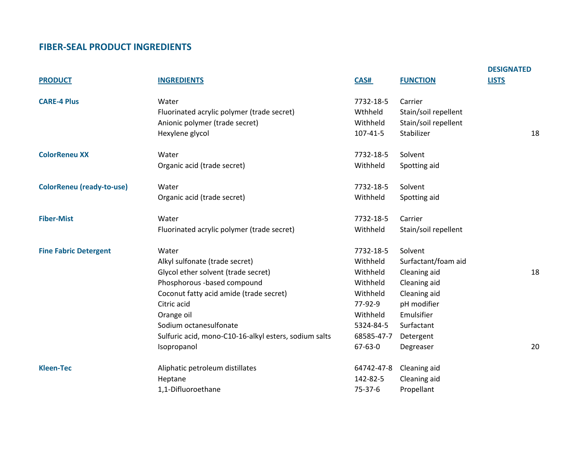## **FIBER-SEAL PRODUCT INGREDIENTS**

|                                  |                                                       |               |                      | <b>DESIGNATED</b> |
|----------------------------------|-------------------------------------------------------|---------------|----------------------|-------------------|
| <b>PRODUCT</b>                   | <b>INGREDIENTS</b>                                    | CAS#          | <b>FUNCTION</b>      | <b>LISTS</b>      |
| <b>CARE-4 Plus</b>               | Water                                                 | 7732-18-5     | Carrier              |                   |
|                                  | Fluorinated acrylic polymer (trade secret)            | Wthheld       | Stain/soil repellent |                   |
|                                  | Anionic polymer (trade secret)                        | Withheld      | Stain/soil repellent |                   |
|                                  | Hexylene glycol                                       | 107-41-5      | Stabilizer           | 18                |
| <b>ColorReneu XX</b>             | Water                                                 | 7732-18-5     | Solvent              |                   |
|                                  | Organic acid (trade secret)                           | Withheld      | Spotting aid         |                   |
| <b>ColorReneu (ready-to-use)</b> | Water                                                 | 7732-18-5     | Solvent              |                   |
|                                  | Organic acid (trade secret)                           | Withheld      | Spotting aid         |                   |
| <b>Fiber-Mist</b>                | Water                                                 | 7732-18-5     | Carrier              |                   |
|                                  | Fluorinated acrylic polymer (trade secret)            | Withheld      | Stain/soil repellent |                   |
| <b>Fine Fabric Detergent</b>     | Water                                                 | 7732-18-5     | Solvent              |                   |
|                                  | Alkyl sulfonate (trade secret)                        | Withheld      | Surfactant/foam aid  |                   |
|                                  | Glycol ether solvent (trade secret)                   | Withheld      | Cleaning aid         | 18                |
|                                  | Phosphorous -based compound                           | Withheld      | Cleaning aid         |                   |
|                                  | Coconut fatty acid amide (trade secret)               | Withheld      | Cleaning aid         |                   |
|                                  | Citric acid                                           | 77-92-9       | pH modifier          |                   |
|                                  | Orange oil                                            | Withheld      | Emulsifier           |                   |
|                                  | Sodium octanesulfonate                                | 5324-84-5     | Surfactant           |                   |
|                                  | Sulfuric acid, mono-C10-16-alkyl esters, sodium salts | 68585-47-7    | Detergent            |                   |
|                                  | Isopropanol                                           | $67 - 63 - 0$ | Degreaser            | 20                |
| <b>Kleen-Tec</b>                 | Aliphatic petroleum distillates                       | 64742-47-8    | Cleaning aid         |                   |
|                                  | Heptane                                               | 142-82-5      | Cleaning aid         |                   |
|                                  | 1,1-Difluoroethane                                    | $75-37-6$     | Propellant           |                   |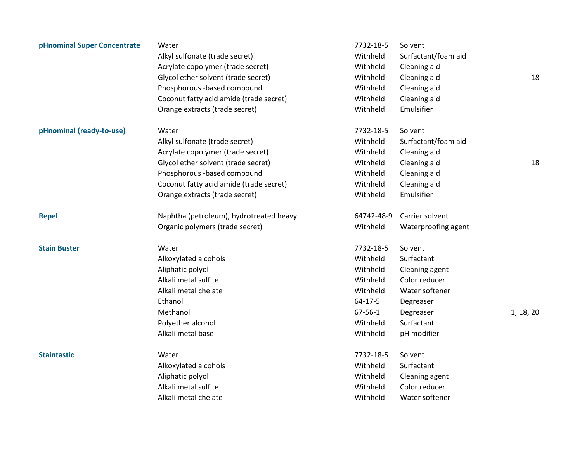| pHnominal Super Concentrate | Water                                   | 7732-18-5     | Solvent             |           |
|-----------------------------|-----------------------------------------|---------------|---------------------|-----------|
|                             | Alkyl sulfonate (trade secret)          | Withheld      | Surfactant/foam aid |           |
|                             | Acrylate copolymer (trade secret)       | Withheld      | Cleaning aid        |           |
|                             | Glycol ether solvent (trade secret)     | Withheld      | Cleaning aid        | 18        |
|                             | Phosphorous -based compound             | Withheld      | Cleaning aid        |           |
|                             | Coconut fatty acid amide (trade secret) | Withheld      | Cleaning aid        |           |
|                             | Orange extracts (trade secret)          | Withheld      | Emulsifier          |           |
| pHnominal (ready-to-use)    | Water                                   | 7732-18-5     | Solvent             |           |
|                             | Alkyl sulfonate (trade secret)          | Withheld      | Surfactant/foam aid |           |
|                             | Acrylate copolymer (trade secret)       | Withheld      | Cleaning aid        |           |
|                             | Glycol ether solvent (trade secret)     | Withheld      | Cleaning aid        | 18        |
|                             | Phosphorous -based compound             | Withheld      | Cleaning aid        |           |
|                             | Coconut fatty acid amide (trade secret) | Withheld      | Cleaning aid        |           |
|                             | Orange extracts (trade secret)          | Withheld      | Emulsifier          |           |
| <b>Repel</b>                | Naphtha (petroleum), hydrotreated heavy | 64742-48-9    | Carrier solvent     |           |
|                             | Organic polymers (trade secret)         | Withheld      | Waterproofing agent |           |
| <b>Stain Buster</b>         | Water                                   | 7732-18-5     | Solvent             |           |
|                             | Alkoxylated alcohols                    | Withheld      | Surfactant          |           |
|                             | Aliphatic polyol                        | Withheld      | Cleaning agent      |           |
|                             | Alkali metal sulfite                    | Withheld      | Color reducer       |           |
|                             | Alkali metal chelate                    | Withheld      | Water softener      |           |
|                             | Ethanol                                 | $64 - 17 - 5$ | Degreaser           |           |
|                             | Methanol                                | $67 - 56 - 1$ | Degreaser           | 1, 18, 20 |
|                             | Polyether alcohol                       | Withheld      | Surfactant          |           |
|                             | Alkali metal base                       | Withheld      | pH modifier         |           |
| <b>Staintastic</b>          | Water                                   | 7732-18-5     | Solvent             |           |
|                             | Alkoxylated alcohols                    | Withheld      | Surfactant          |           |
|                             | Aliphatic polyol                        | Withheld      | Cleaning agent      |           |
|                             | Alkali metal sulfite                    | Withheld      | Color reducer       |           |
|                             | Alkali metal chelate                    | Withheld      | Water softener      |           |